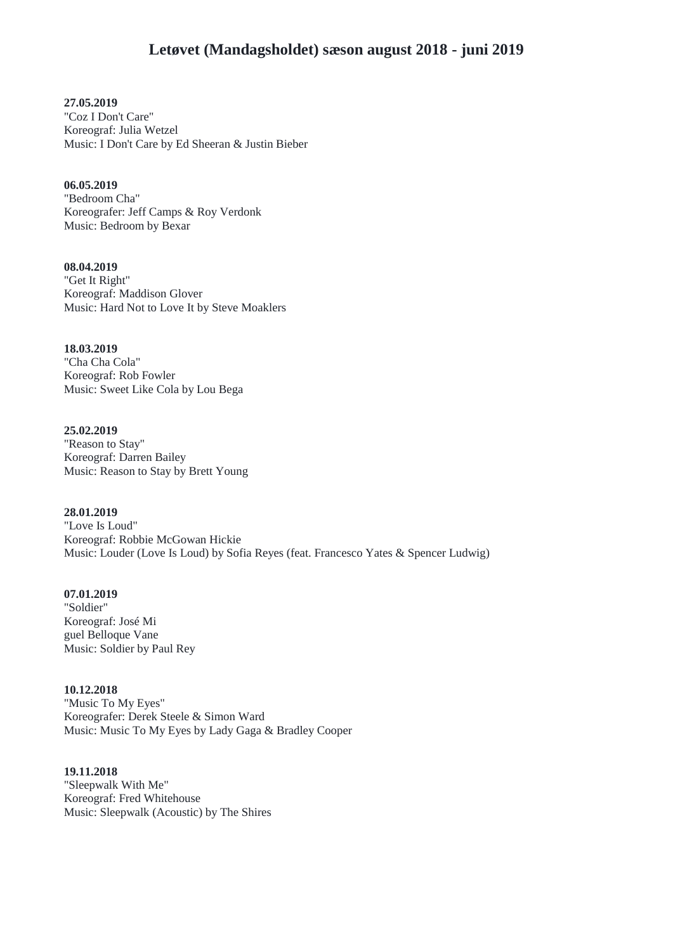**27.05.2019** "Coz I Don't Care" Koreograf: Julia Wetzel Music: I Don't Care by Ed Sheeran & Justin Bieber

**06.05.2019** "Bedroom Cha" Koreografer: Jeff Camps & Roy Verdonk Music: Bedroom by Bexar

**08.04.2019** "Get It Right" Koreograf: Maddison Glover Music: Hard Not to Love It by Steve Moaklers

**18.03.2019** "Cha Cha Cola" Koreograf: Rob Fowler Music: Sweet Like Cola by Lou Bega

**25.02.2019** "Reason to Stay" Koreograf: Darren Bailey Music: Reason to Stay by Brett Young

**28.01.2019** "Love Is Loud" Koreograf: Robbie McGowan Hickie Music: Louder (Love Is Loud) by Sofia Reyes (feat. Francesco Yates & Spencer Ludwig)

**07.01.2019** "Soldier" Koreograf: José Mi guel Belloque Vane Music: Soldier by Paul Rey

**10.12.2018** "Music To My Eyes" Koreografer: Derek Steele & Simon Ward Music: Music To My Eyes by Lady Gaga & Bradley Cooper

**19.11.2018** "Sleepwalk With Me" Koreograf: Fred Whitehouse Music: Sleepwalk (Acoustic) by The Shires